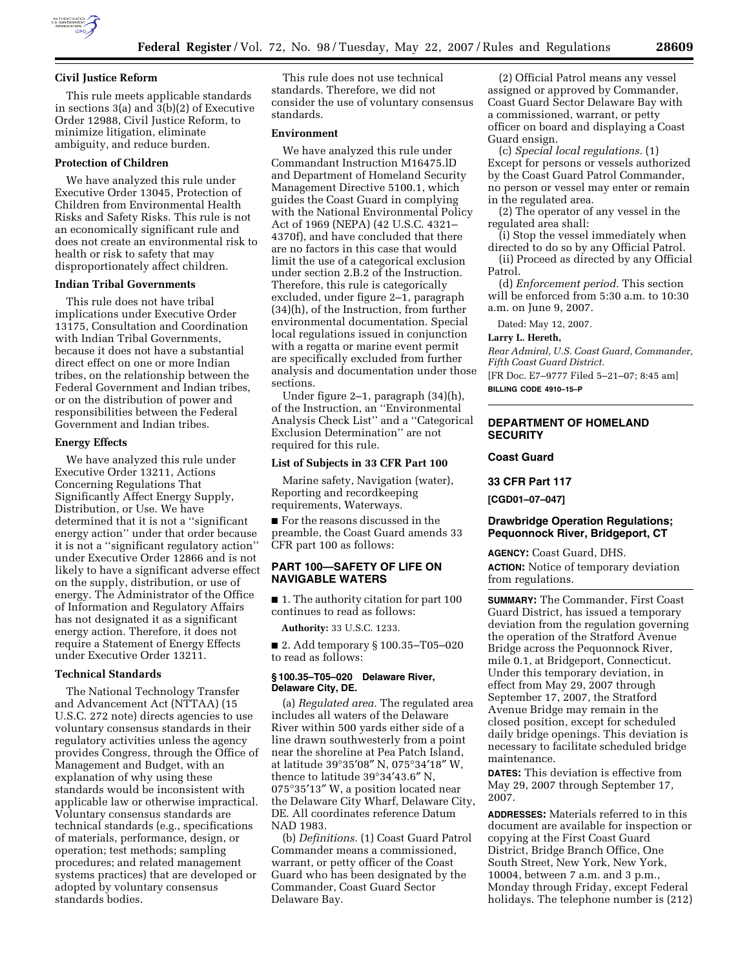

### **Civil Justice Reform**

This rule meets applicable standards in sections 3(a) and 3(b)(2) of Executive Order 12988, Civil Justice Reform, to minimize litigation, eliminate ambiguity, and reduce burden.

#### **Protection of Children**

We have analyzed this rule under Executive Order 13045, Protection of Children from Environmental Health Risks and Safety Risks. This rule is not an economically significant rule and does not create an environmental risk to health or risk to safety that may disproportionately affect children.

#### **Indian Tribal Governments**

This rule does not have tribal implications under Executive Order 13175, Consultation and Coordination with Indian Tribal Governments, because it does not have a substantial direct effect on one or more Indian tribes, on the relationship between the Federal Government and Indian tribes, or on the distribution of power and responsibilities between the Federal Government and Indian tribes.

### **Energy Effects**

We have analyzed this rule under Executive Order 13211, Actions Concerning Regulations That Significantly Affect Energy Supply, Distribution, or Use. We have determined that it is not a ''significant energy action'' under that order because it is not a ''significant regulatory action'' under Executive Order 12866 and is not likely to have a significant adverse effect on the supply, distribution, or use of energy. The Administrator of the Office of Information and Regulatory Affairs has not designated it as a significant energy action. Therefore, it does not require a Statement of Energy Effects under Executive Order 13211.

### **Technical Standards**

The National Technology Transfer and Advancement Act (NTTAA) (15 U.S.C. 272 note) directs agencies to use voluntary consensus standards in their regulatory activities unless the agency provides Congress, through the Office of Management and Budget, with an explanation of why using these standards would be inconsistent with applicable law or otherwise impractical. Voluntary consensus standards are technical standards (e.g., specifications of materials, performance, design, or operation; test methods; sampling procedures; and related management systems practices) that are developed or adopted by voluntary consensus standards bodies.

This rule does not use technical standards. Therefore, we did not consider the use of voluntary consensus standards.

#### **Environment**

We have analyzed this rule under Commandant Instruction M16475.lD and Department of Homeland Security Management Directive 5100.1, which guides the Coast Guard in complying with the National Environmental Policy Act of 1969 (NEPA) (42 U.S.C. 4321– 4370f), and have concluded that there are no factors in this case that would limit the use of a categorical exclusion under section 2.B.2 of the Instruction. Therefore, this rule is categorically excluded, under figure 2–1, paragraph (34)(h), of the Instruction, from further environmental documentation. Special local regulations issued in conjunction with a regatta or marine event permit are specifically excluded from further analysis and documentation under those sections.

Under figure 2–1, paragraph (34)(h), of the Instruction, an ''Environmental Analysis Check List'' and a ''Categorical Exclusion Determination'' are not required for this rule.

#### **List of Subjects in 33 CFR Part 100**

Marine safety, Navigation (water), Reporting and recordkeeping requirements, Waterways.

■ For the reasons discussed in the preamble, the Coast Guard amends 33 CFR part 100 as follows:

## **PART 100—SAFETY OF LIFE ON NAVIGABLE WATERS**

■ 1. The authority citation for part 100 continues to read as follows:

**Authority:** 33 U.S.C. 1233.

■ 2. Add temporary § 100.35–T05–020 to read as follows:

## **§ 100.35–T05–020 Delaware River, Delaware City, DE.**

(a) *Regulated area.* The regulated area includes all waters of the Delaware River within 500 yards either side of a line drawn southwesterly from a point near the shoreline at Pea Patch Island, at latitude 39°35′08″ N, 075°34′18″ W, thence to latitude 39°34′43.6″ N, 075°35′13″ W, a position located near the Delaware City Wharf, Delaware City, DE. All coordinates reference Datum NAD 1983.

(b) *Definitions.* (1) Coast Guard Patrol Commander means a commissioned, warrant, or petty officer of the Coast Guard who has been designated by the Commander, Coast Guard Sector Delaware Bay.

(2) Official Patrol means any vessel assigned or approved by Commander, Coast Guard Sector Delaware Bay with a commissioned, warrant, or petty officer on board and displaying a Coast Guard ensign.

(c) *Special local regulations.* (1) Except for persons or vessels authorized by the Coast Guard Patrol Commander, no person or vessel may enter or remain in the regulated area.

(2) The operator of any vessel in the regulated area shall:

(i) Stop the vessel immediately when directed to do so by any Official Patrol.

(ii) Proceed as directed by any Official Patrol.

(d) *Enforcement period.* This section will be enforced from 5:30 a.m. to 10:30 a.m. on June 9, 2007.

Dated: May 12, 2007.

#### **Larry L. Hereth,**

*Rear Admiral, U.S. Coast Guard, Commander, Fifth Coast Guard District.* 

[FR Doc. E7–9777 Filed 5–21–07; 8:45 am]

**BILLING CODE 4910–15–P** 

## **DEPARTMENT OF HOMELAND SECURITY**

### **Coast Guard**

**33 CFR Part 117** 

**[CGD01–07–047]** 

## **Drawbridge Operation Regulations; Pequonnock River, Bridgeport, CT**

**AGENCY:** Coast Guard, DHS.

**ACTION:** Notice of temporary deviation from regulations.

**SUMMARY:** The Commander, First Coast Guard District, has issued a temporary deviation from the regulation governing the operation of the Stratford Avenue Bridge across the Pequonnock River, mile 0.1, at Bridgeport, Connecticut. Under this temporary deviation, in effect from May 29, 2007 through September 17, 2007, the Stratford Avenue Bridge may remain in the closed position, except for scheduled daily bridge openings. This deviation is necessary to facilitate scheduled bridge maintenance.

**DATES:** This deviation is effective from May 29, 2007 through September 17, 2007.

**ADDRESSES:** Materials referred to in this document are available for inspection or copying at the First Coast Guard District, Bridge Branch Office, One South Street, New York, New York, 10004, between 7 a.m. and 3 p.m., Monday through Friday, except Federal holidays. The telephone number is (212)